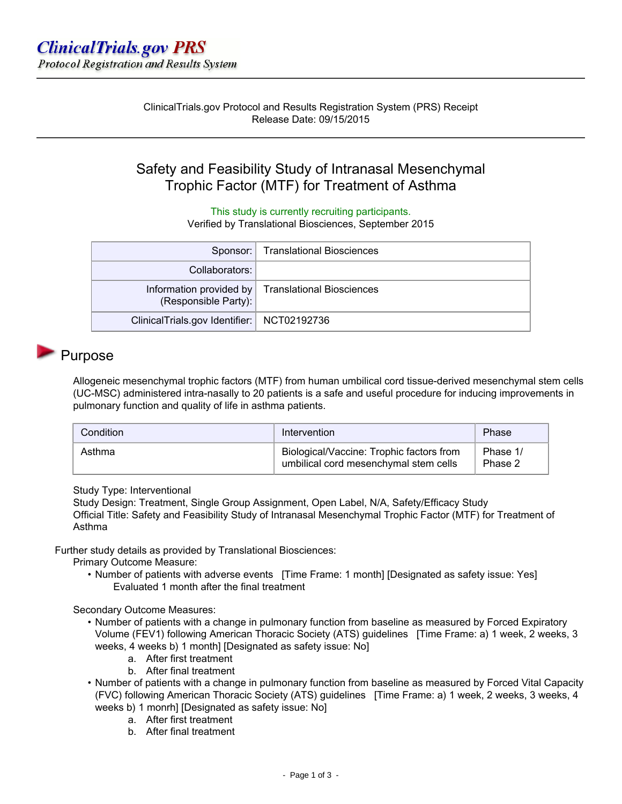ClinicalTrials.gov Protocol and Results Registration System (PRS) Receipt Release Date: 09/15/2015

# Safety and Feasibility Study of Intranasal Mesenchymal Trophic Factor (MTF) for Treatment of Asthma

This study is currently recruiting participants.

Verified by Translational Biosciences, September 2015

|                                              | Sponsor:   Translational Biosciences              |
|----------------------------------------------|---------------------------------------------------|
| Collaborators:                               |                                                   |
| (Responsible Party):                         | Information provided by Translational Biosciences |
| ClinicalTrials.gov Identifier:   NCT02192736 |                                                   |

## Purpose

Allogeneic mesenchymal trophic factors (MTF) from human umbilical cord tissue-derived mesenchymal stem cells (UC-MSC) administered intra-nasally to 20 patients is a safe and useful procedure for inducing improvements in pulmonary function and quality of life in asthma patients.

| Condition | Intervention                                                                      | Phase               |
|-----------|-----------------------------------------------------------------------------------|---------------------|
| Asthma    | Biological/Vaccine: Trophic factors from<br>umbilical cord mesenchymal stem cells | Phase 1/<br>Phase 2 |

Study Type: Interventional

Study Design: Treatment, Single Group Assignment, Open Label, N/A, Safety/Efficacy Study Official Title: Safety and Feasibility Study of Intranasal Mesenchymal Trophic Factor (MTF) for Treatment of Asthma

Further study details as provided by Translational Biosciences:

Primary Outcome Measure:

• Number of patients with adverse events [Time Frame: 1 month] [Designated as safety issue: Yes] Evaluated 1 month after the final treatment

Secondary Outcome Measures:

- Number of patients with a change in pulmonary function from baseline as measured by Forced Expiratory Volume (FEV1) following American Thoracic Society (ATS) guidelines [Time Frame: a) 1 week, 2 weeks, 3 weeks, 4 weeks b) 1 month] [Designated as safety issue: No]
	- a. After first treatment
	- b. After final treatment
- Number of patients with a change in pulmonary function from baseline as measured by Forced Vital Capacity (FVC) following American Thoracic Society (ATS) guidelines [Time Frame: a) 1 week, 2 weeks, 3 weeks, 4 weeks b) 1 monrh] [Designated as safety issue: No]
	- - a. After first treatment
		- b. After final treatment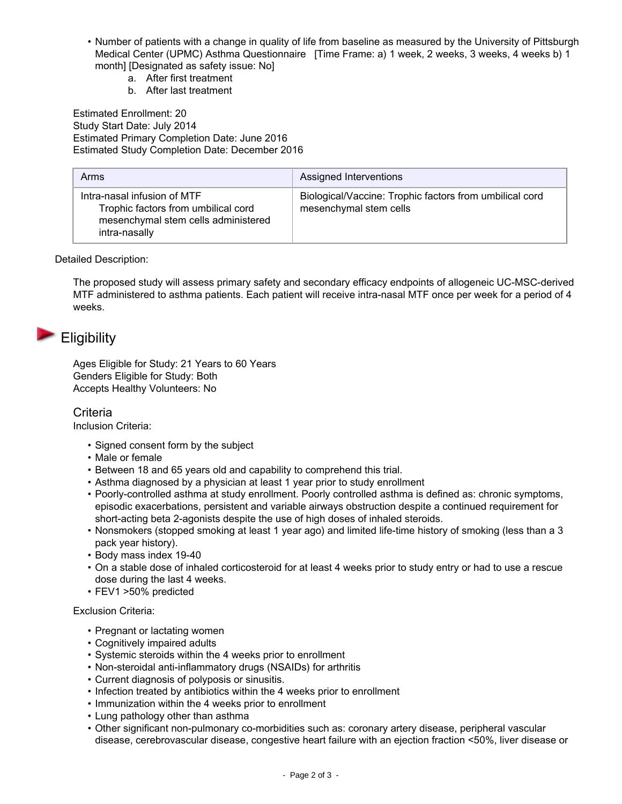- Number of patients with a change in quality of life from baseline as measured by the University of Pittsburgh Medical Center (UPMC) Asthma Questionnaire [Time Frame: a) 1 week, 2 weeks, 3 weeks, 4 weeks b) 1 month] [Designated as safety issue: No]
	- a. After first treatment
	- b. After last treatment

Estimated Enrollment: 20 Study Start Date: July 2014 Estimated Primary Completion Date: June 2016 Estimated Study Completion Date: December 2016

| Arms                                                                                                                       | Assigned Interventions                                                            |
|----------------------------------------------------------------------------------------------------------------------------|-----------------------------------------------------------------------------------|
| Intra-nasal infusion of MTF<br>Trophic factors from umbilical cord<br>mesenchymal stem cells administered<br>intra-nasally | Biological/Vaccine: Trophic factors from umbilical cord<br>mesenchymal stem cells |

Detailed Description:

The proposed study will assess primary safety and secondary efficacy endpoints of allogeneic UC-MSC-derived MTF administered to asthma patients. Each patient will receive intra-nasal MTF once per week for a period of 4 weeks.

# **Eligibility**

Ages Eligible for Study: 21 Years to 60 Years Genders Eligible for Study: Both Accepts Healthy Volunteers: No

### **Criteria**

Inclusion Criteria:

- Signed consent form by the subject
- Male or female
- Between 18 and 65 years old and capability to comprehend this trial.
- Asthma diagnosed by a physician at least 1 year prior to study enrollment
- Poorly-controlled asthma at study enrollment. Poorly controlled asthma is defined as: chronic symptoms, episodic exacerbations, persistent and variable airways obstruction despite a continued requirement for short-acting beta 2-agonists despite the use of high doses of inhaled steroids.
- Nonsmokers (stopped smoking at least 1 year ago) and limited life-time history of smoking (less than a 3 pack year history).
- Body mass index 19-40
- On a stable dose of inhaled corticosteroid for at least 4 weeks prior to study entry or had to use a rescue dose during the last 4 weeks.
- FEV1 >50% predicted

### Exclusion Criteria:

- Pregnant or lactating women
- Cognitively impaired adults
- Systemic steroids within the 4 weeks prior to enrollment
- Non-steroidal anti-inflammatory drugs (NSAIDs) for arthritis
- Current diagnosis of polyposis or sinusitis.
- Infection treated by antibiotics within the 4 weeks prior to enrollment
- Immunization within the 4 weeks prior to enrollment
- Lung pathology other than asthma
- Other significant non-pulmonary co-morbidities such as: coronary artery disease, peripheral vascular disease, cerebrovascular disease, congestive heart failure with an ejection fraction <50%, liver disease or